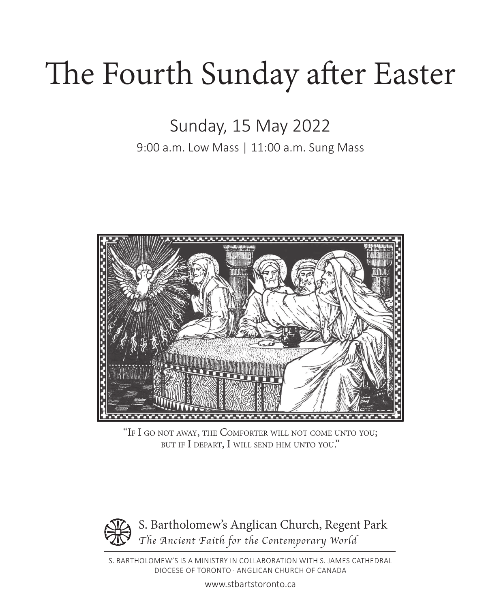# The Fourth Sunday after Easter

Sunday, 15 May 2022

9:00 a.m. Low Mass | 11:00 a.m. Sung Mass



"If I go not away, the Comforter will not come unto you; but if I depart, I will send him unto you."



S. BARTHOLOMEW'S IS A MINISTRY IN COLLABORATION WITH S. JAMES CATHEDRAL DIOCESE OF TORONTO · ANGLICAN CHURCH OF CANADA

www.stbartstoronto.ca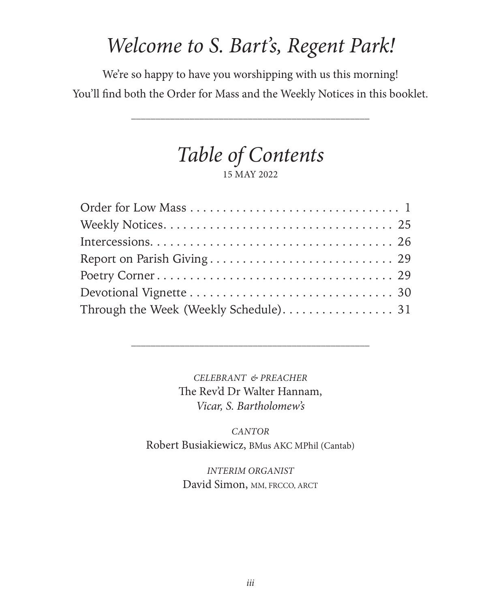# *Welcome to S. Bart's, Regent Park!*

We're so happy to have you worshipping with us this morning! You'll find both the Order for Mass and the Weekly Notices in this booklet.

*\_\_\_\_\_\_\_\_\_\_\_\_\_\_\_\_\_\_\_\_\_\_\_\_\_\_\_\_\_\_\_\_\_\_\_\_\_\_\_\_\_\_\_\_\_\_\_\_\_*

*Table of Contents* 15 MAY 2022

*CELEBRANT & PREACHER* The Rev'd Dr Walter Hannam, *Vicar, S. Bartholomew's*

*\_\_\_\_\_\_\_\_\_\_\_\_\_\_\_\_\_\_\_\_\_\_\_\_\_\_\_\_\_\_\_\_\_\_\_\_\_\_\_\_\_\_\_\_\_\_\_\_\_*

*CANTOR* Robert Busiakiewicz, BMus AKC MPhil (Cantab)

> *INTERIM ORGANIST*  David Simon, MM, FRCCO, ARCT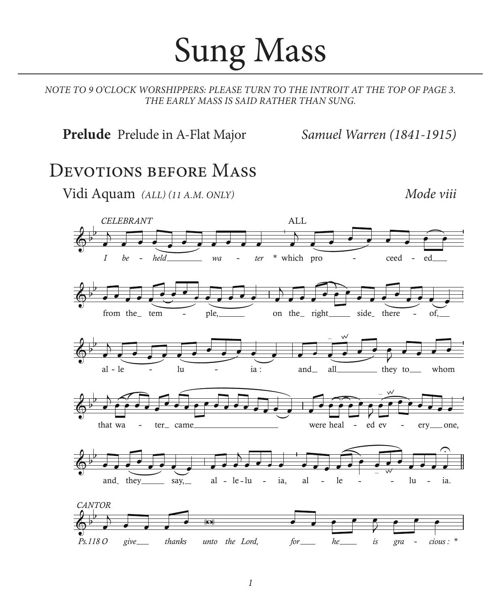# Sung Mass

*NOTE TO 9 O'CLOCK WORSHIPPERS: PLEASE TURN TO THE INTROIT AT THE TOP OF PAGE 3. THE EARLY MASS IS SAID RATHER THAN SUNG.*

**Prelude** Prelude in A-Flat Major *Samuel Warren (1841-1915)*

### DEVOTIONS BEFORE MASS

Vidi Aquam *(ALL) (11 A.M. ONLY) Mode viii*

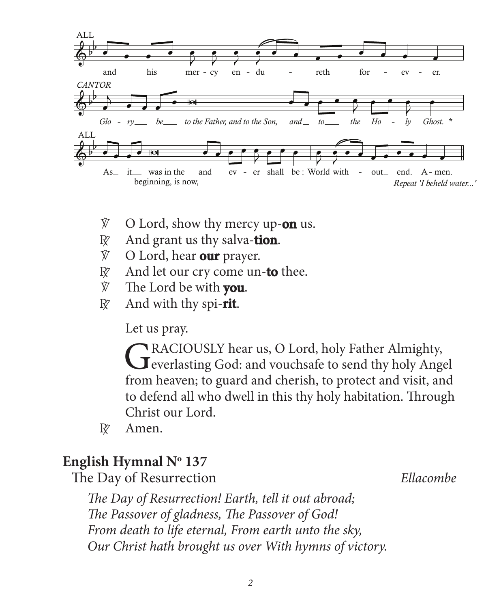

- V O Lord, show thy mercy up-**on** us.
- $R \times A$ nd grant us thy salva-**tion**.
- $\hat{V}$  O Lord, hear **our** prayer.
- R And let our cry come un-**to** thee.
- V The Lord be with **you**.
- $R \times A$ nd with thy spi-**rit**.

Let us pray.

GRACIOUSLY hear us, O Lord, holy Father Almighty,<br>
Geverlasting God: and vouchsafe to send thy holy Angel from heaven; to guard and cherish, to protect and visit, and to defend all who dwell in this thy holy habitation. Through Christ our Lord.

 $R\bar{z}$  Amen.

### **English Hymnal No 137**

The Day of Resurrection *Ellacombe*

 *The Day of Resurrection! Earth, tell it out abroad; The Passover of gladness, The Passover of God! From death to life eternal, From earth unto the sky, Our Christ hath brought us over With hymns of victory.*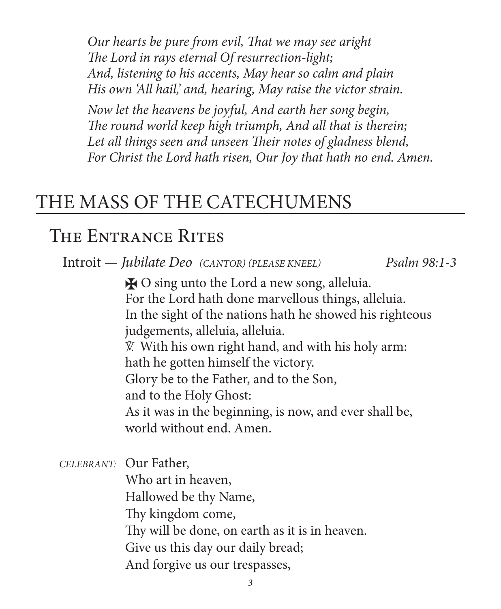*Our hearts be pure from evil, That we may see aright The Lord in rays eternal Of resurrection-light; And, listening to his accents, May hear so calm and plain His own 'All hail,' and, hearing, May raise the victor strain.*

 *Now let the heavens be joyful, And earth her song begin, The round world keep high triumph, And all that is therein; Let all things seen and unseen Their notes of gladness blend, For Christ the Lord hath risen, Our Joy that hath no end. Amen.* 

# THE MASS OF THE CATECHUMENS

# THE ENTRANCE RITES

Introit *— Jubilate Deo (CANTOR) (PLEASE KNEEL) Psalm 98:1-3*

 $\bigstar$  O sing unto the Lord a new song, alleluia. For the Lord hath done marvellous things, alleluia. In the sight of the nations hath he showed his righteous judgements, alleluia, alleluia. V. With his own right hand, and with his holy arm: hath he gotten himself the victory. Glory be to the Father, and to the Son, and to the Holy Ghost: As it was in the beginning, is now, and ever shall be, world without end. Amen.

*CELEBRANT:* Our Father, Who art in heaven, Hallowed be thy Name, Thy kingdom come, Thy will be done, on earth as it is in heaven. Give us this day our daily bread; And forgive us our trespasses,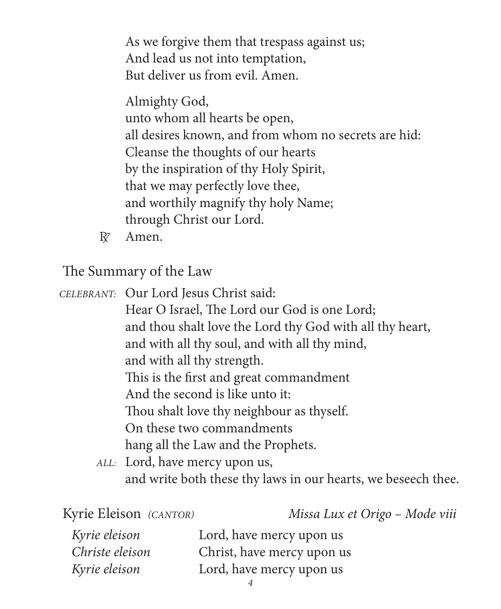As we forgive them that trespass against us; And lead us not into temptation, But deliver us from evil. Amen.

Almighty God, unto whom all hearts be open, all desires known, and from whom no secrets are hid: Cleanse the thoughts of our hearts by the inspiration of thy Holy Spirit, that we may perfectly love thee, and worthily magnify thy holy Name; through Christ our Lord.

R Amen.

The Summary of the Law

*CELEBRANT:* Our Lord Jesus Christ said:

 Hear O Israel, The Lord our God is one Lord; and thou shalt love the Lord thy God with all thy heart, and with all thy soul, and with all thy mind, and with all thy strength. This is the first and great commandment And the second is like unto it: Thou shalt love thy neighbour as thyself. On these two commandments hang all the Law and the Prophets.

*ALL:* Lord, have mercy upon us, and write both these thy laws in our hearts, we beseech thee.

Kyrie Eleison *(CANTOR) Missa Lux et Origo – Mode viii*

| Kyrie eleison   | Lord, have mercy upon us   |
|-----------------|----------------------------|
| Christe eleison | Christ, have mercy upon us |
| Kyrie eleison   | Lord, have mercy upon us   |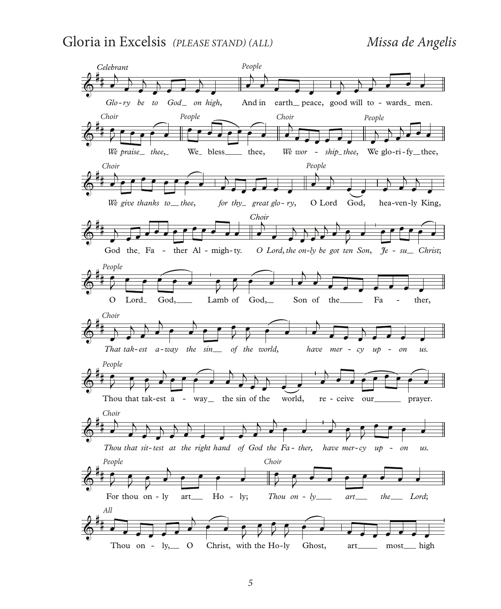#### Gloria in Excelsis *(PLEASE STAND) (ALL) Missa de Angelis*

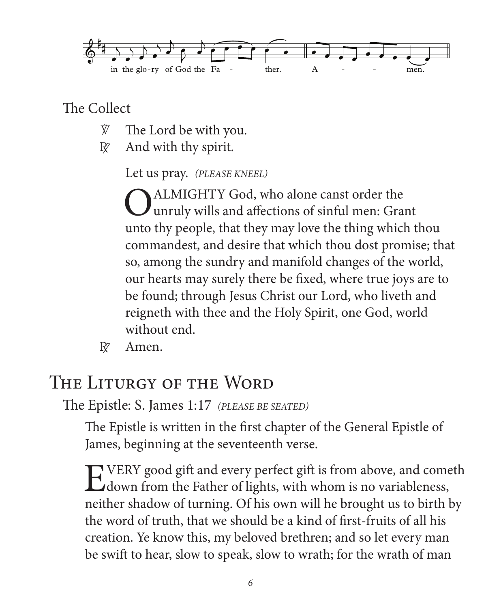

The Collect

- $\hat{V}$  The Lord be with you.
- $\mathbb{R}$  And with thy spirit.

Let us pray. *(PLEASE KNEEL)*

**O** ALMIGHTY God, who alone canst order the unruly wills and affections of sinful men: Grant unto thy people, that they may love the thing which thou commandest, and desire that which thou dost promise; that so, among the sundry and manifold changes of the world, our hearts may surely there be fixed, where true joys are to be found; through Jesus Christ our Lord, who liveth and reigneth with thee and the Holy Spirit, one God, world without end.

 $R^{\gamma}$  Amen.

# The Liturgy of the Word

The Epistle: S. James 1:17 *(PLEASE BE SEATED)*

The Epistle is written in the first chapter of the General Epistle of James, beginning at the seventeenth verse.

EVERY good gift and every perfect gift is from above, and cometh<br>down from the Father of lights, with whom is no variableness, neither shadow of turning. Of his own will he brought us to birth by the word of truth, that we should be a kind of first-fruits of all his creation. Ye know this, my beloved brethren; and so let every man be swift to hear, slow to speak, slow to wrath; for the wrath of man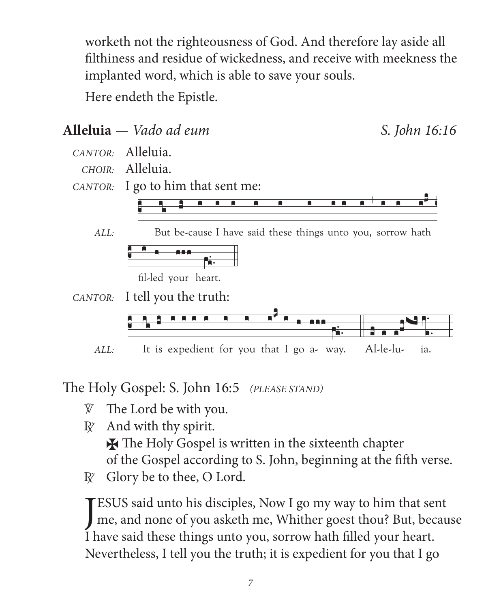worketh not the righteousness of God. And therefore lay aside all filthiness and residue of wickedness, and receive with meekness the implanted word, which is able to save your souls.

Here endeth the Epistle.



The Holy Gospel: S. John 16:5 (PLEASE STAND)

- The Lord be with you. V.
- And with thy spirit.  $R^{\prime}$

**X** The Holy Gospel is written in the sixteenth chapter

of the Gospel according to S. John, beginning at the fifth verse.

Glory be to thee, O Lord.  $R^z$ 

**EVALUATE:** ESUS said unto his disciples, Now I go my way to him that sent me, and none of you asketh me, Whither goest thou? But, because I have said these things unto you, sorrow hath filled your heart. Nevertheless, I tell you the truth; it is expedient for you that I go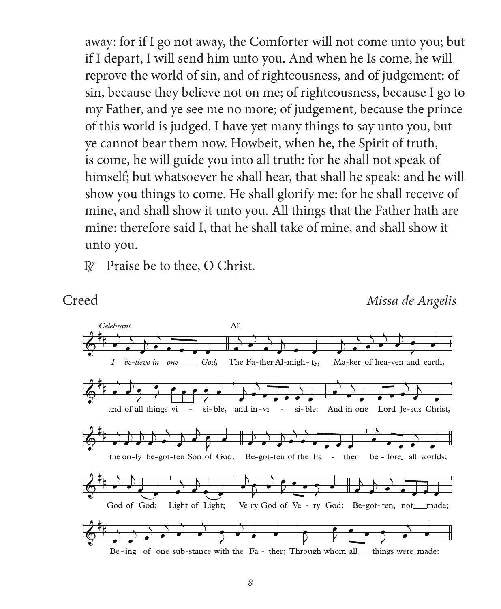away: for if I go not away, the Comforter will not come unto you; but if I depart, I will send him unto you. And when he Is come, he will reprove the world of sin, and of righteousness, and of judgement: of sin, because they believe not on me; of righteousness, because I go to my Father, and ye see me no more; of judgement, because the prince of this world is judged. I have yet many things to say unto you, but ye cannot bear them now. Howbeit, when he, the Spirit of truth, is come, he will guide you into all truth: for he shall not speak of himself; but whatsoever he shall hear, that shall he speak: and he will show you things to come. He shall glorify me: for he shall receive of mine, and shall show it unto you. All things that the Father hath are mine: therefore said I, that he shall take of mine, and shall show it unto you.

 $R$  Praise be to thee, O Christ.

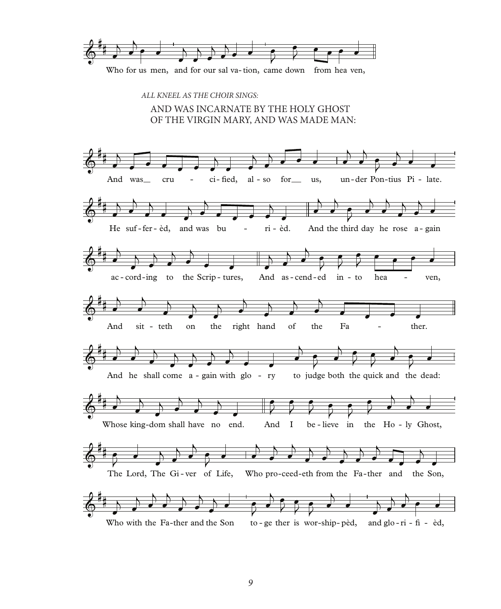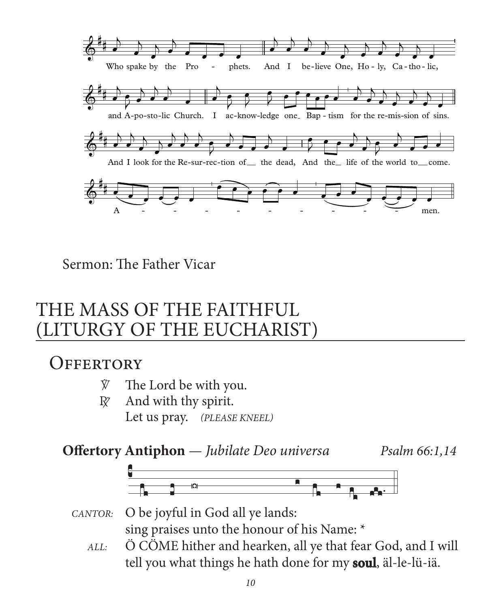

Sermon: The Father Vicar

# THE MASS OF THE FAITHFUL (LITURGY OF THE EUCHARIST)

### **OFFERTORY**

- $\hat{V}$  The Lord be with you.
- $R \times A$ nd with thy spirit. Let us pray. *(PLEASE KNEEL)*

### **Offertory Antiphon** *— Jubilate Deo universa Psalm 66:1,14*



#### CANTOR: O be joyful in God all ye lands: sing praises unto the honour of his Name: \* CANTOR:

 *ALL:* Ö CÖME hither and hearken, all ye that fear God, and I will tell you what things he hath done for my **soul**, äl-le-lü-iä.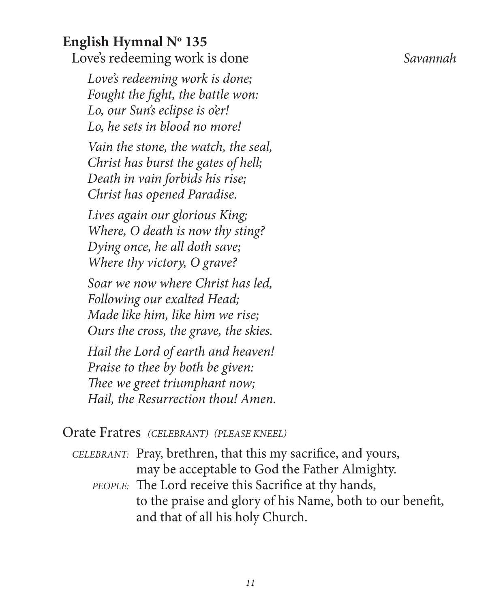# **English Hymnal No 135**

Love's redeeming work is done *Savannah*

 *Love's redeeming work is done; Fought the fight, the battle won: Lo, our Sun's eclipse is o'er! Lo, he sets in blood no more!*

 *Vain the stone, the watch, the seal, Christ has burst the gates of hell; Death in vain forbids his rise; Christ has opened Paradise.*

 *Lives again our glorious King; Where, O death is now thy sting? Dying once, he all doth save; Where thy victory, O grave?*

 *Soar we now where Christ has led, Following our exalted Head; Made like him, like him we rise; Ours the cross, the grave, the skies.*

 *Hail the Lord of earth and heaven! Praise to thee by both be given: Thee we greet triumphant now; Hail, the Resurrection thou! Amen.*

#### Orate Fratres *(CELEBRANT) (PLEASE KNEEL)*

- *CELEBRANT:* Pray, brethren, that this my sacrifice, and yours, may be acceptable to God the Father Almighty.
	- *PEOPLE:* The Lord receive this Sacrifice at thy hands, to the praise and glory of his Name, both to our benefit, and that of all his holy Church.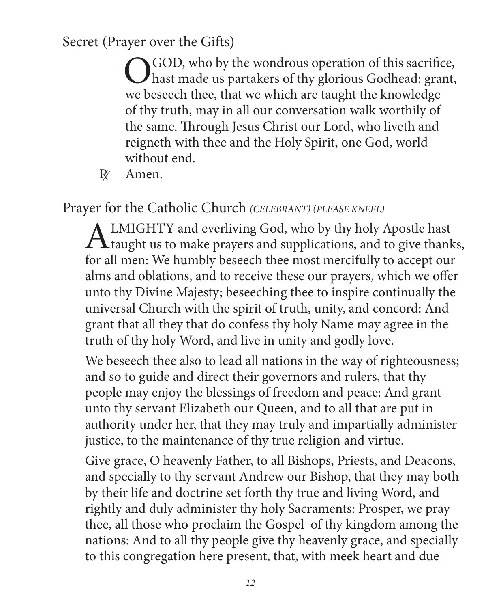Secret (Prayer over the Gifts)

O GOD, who by the wondrous operation of this sacrifice,<br>hast made us partakers of thy glorious Godhead: grant, we beseech thee, that we which are taught the knowledge of thy truth, may in all our conversation walk worthily of the same. Through Jesus Christ our Lord, who liveth and reigneth with thee and the Holy Spirit, one God, world without end.

R<sub>Z</sub> Amen.

Prayer for the Catholic Church *(CELEBRANT) (PLEASE KNEEL)*

ALMIGHTY and everliving God, who by thy holy Apostle hast<br>taught us to make prayers and supplications, and to give thanks, for all men: We humbly beseech thee most mercifully to accept our alms and oblations, and to receive these our prayers, which we offer unto thy Divine Majesty; beseeching thee to inspire continually the universal Church with the spirit of truth, unity, and concord: And grant that all they that do confess thy holy Name may agree in the truth of thy holy Word, and live in unity and godly love.

We beseech thee also to lead all nations in the way of righteousness; and so to guide and direct their governors and rulers, that thy people may enjoy the blessings of freedom and peace: And grant unto thy servant Elizabeth our Queen, and to all that are put in authority under her, that they may truly and impartially administer justice, to the maintenance of thy true religion and virtue.

Give grace, O heavenly Father, to all Bishops, Priests, and Deacons, and specially to thy servant Andrew our Bishop, that they may both by their life and doctrine set forth thy true and living Word, and rightly and duly administer thy holy Sacraments: Prosper, we pray thee, all those who proclaim the Gospel of thy kingdom among the nations: And to all thy people give thy heavenly grace, and specially to this congregation here present, that, with meek heart and due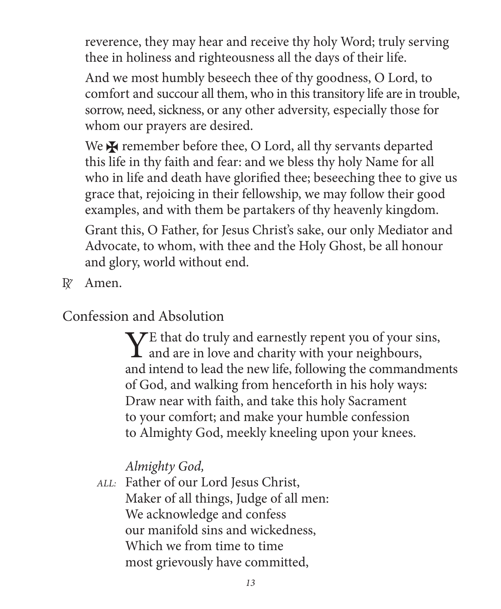reverence, they may hear and receive thy holy Word; truly serving thee in holiness and righteousness all the days of their life.

And we most humbly beseech thee of thy goodness, O Lord, to comfort and succour all them, who in this transitory life are in trouble, sorrow, need, sickness, or any other adversity, especially those for whom our prayers are desired.

We  $\bigstar$  remember before thee, O Lord, all thy servants departed this life in thy faith and fear: and we bless thy holy Name for all who in life and death have glorified thee; beseeching thee to give us grace that, rejoicing in their fellowship, we may follow their good examples, and with them be partakers of thy heavenly kingdom.

Grant this, O Father, for Jesus Christ's sake, our only Mediator and Advocate, to whom, with thee and the Holy Ghost, be all honour and glory, world without end.

R<sup>z</sup> Amen.

Confession and Absolution

 $\sum E$  that do truly and earnestly repent you of your sins, and are in love and charity with your neighbours, and intend to lead the new life, following the commandments of God, and walking from henceforth in his holy ways: Draw near with faith, and take this holy Sacrament to your comfort; and make your humble confession to Almighty God, meekly kneeling upon your knees.

*Almighty God,*

*ALL:* Father of our Lord Jesus Christ, Maker of all things, Judge of all men: We acknowledge and confess our manifold sins and wickedness, Which we from time to time most grievously have committed,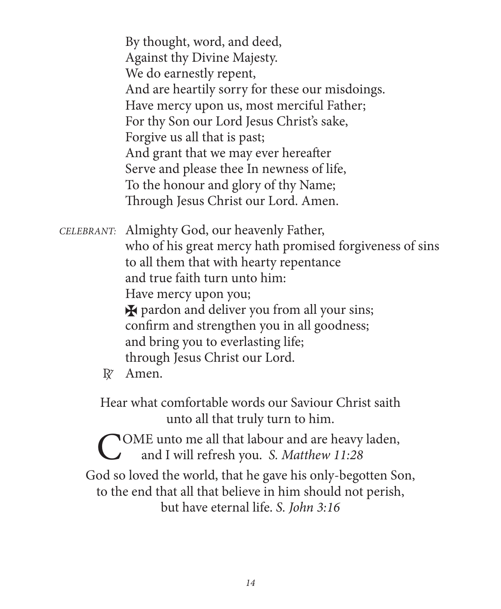By thought, word, and deed, Against thy Divine Majesty. We do earnestly repent, And are heartily sorry for these our misdoings. Have mercy upon us, most merciful Father; For thy Son our Lord Jesus Christ's sake, Forgive us all that is past; And grant that we may ever hereafter Serve and please thee In newness of life, To the honour and glory of thy Name; Through Jesus Christ our Lord. Amen.

*CELEBRANT:* Almighty God, our heavenly Father, who of his great mercy hath promised forgiveness of sins to all them that with hearty repentance and true faith turn unto him: Have mercy upon you;  $\star$  pardon and deliver you from all your sins; confirm and strengthen you in all goodness; and bring you to everlasting life; through Jesus Christ our Lord.  $R^{\gamma}$  Amen.

> Hear what comfortable words our Saviour Christ saith unto all that truly turn to him.

TOME unto me all that labour and are heavy laden, and I will refresh you. *S. Matthew 11:28* God so loved the world, that he gave his only-begotten Son, to the end that all that believe in him should not perish, but have eternal life. *S. John 3:16*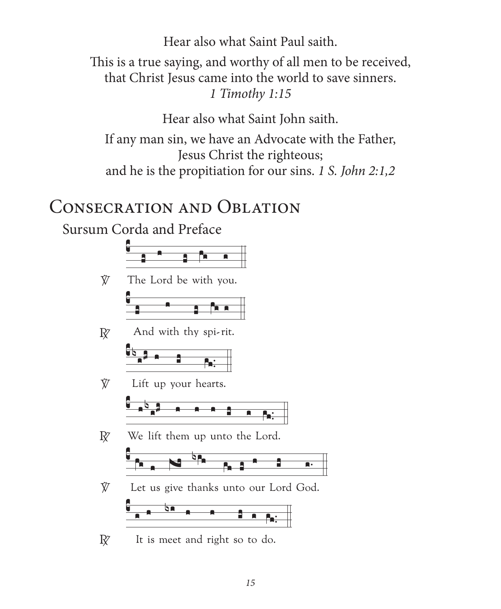Hear also what Saint Paul saith. This is a true saying, and worthy of all men to be received, that Christ Jesus came into the world to save sinners. 1 Timothy 1:15

Hear also what Saint John saith.

If any man sin, we have an Advocate with the Father, Jesus Christ the righteous; and he is the propitiation for our sins. 1 S. John 2:1,2

# **CONSECRATION AND OBLATION**

Sursum Corda and Preface



It is meet and right so to do.  $\mathbb{R}^7$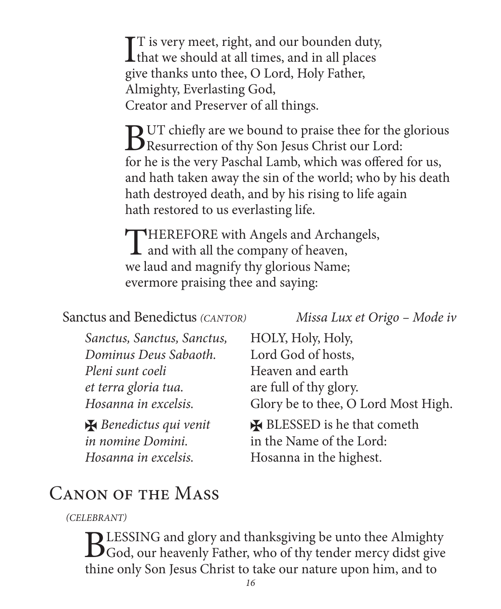$\prod$  is very meet, right, and our bounden duty,<br>that we should at all times, and in all places **L** that we should at all times, and in all places give thanks unto thee, O Lord, Holy Father, Almighty, Everlasting God, Creator and Preserver of all things.

BUT chiefly are we bound to praise thee for the glorious<br>Resurrection of thy Son Jesus Christ our Lord:<br>for the state of the group Death of Lands reliable are of formal forms. for he is the very Paschal Lamb, which was offered for us, and hath taken away the sin of the world; who by his death hath destroyed death, and by his rising to life again hath restored to us everlasting life.

THEREFORE with Angels and Archangels,<br>and with all the company of heaven, we laud and magnify thy glorious Name; evermore praising thee and saying:

#### Sanctus and Benedictus *(CANTOR) Missa Lux et Origo – Mode iv*

| Sanctus, Sanctus, Sanctus, | HOLY, Holy, Holy,                   |
|----------------------------|-------------------------------------|
| Dominus Deus Sabaoth.      | Lord God of hosts,                  |
| Pleni sunt coeli           | Heaven and earth                    |
| et terra gloria tua.       | are full of thy glory.              |
| Hosanna in excelsis.       | Glory be to thee, O Lord Most High. |
| Renedictus qui venit       | <b>X</b> BLESSED is he that cometh  |
| in nomine Domini.          | in the Name of the Lord:            |
| Hosanna in excelsis.       | Hosanna in the highest.             |

# Canon of the Mass

*(CELEBRANT)*

BLESSING and glory and thanksgiving be unto thee Almighty<br>God, our heavenly Father, who of thy tender mercy didst give thine only Son Jesus Christ to take our nature upon him, and to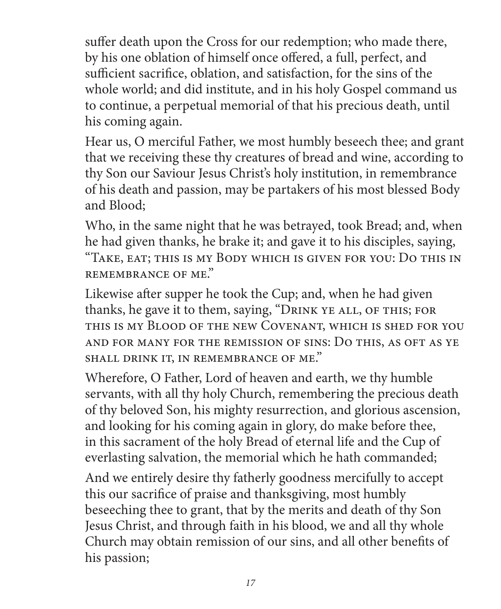suffer death upon the Cross for our redemption; who made there, by his one oblation of himself once offered, a full, perfect, and sufficient sacrifice, oblation, and satisfaction, for the sins of the whole world; and did institute, and in his holy Gospel command us to continue, a perpetual memorial of that his precious death, until his coming again.

Hear us, O merciful Father, we most humbly beseech thee; and grant that we receiving these thy creatures of bread and wine, according to thy Son our Saviour Jesus Christ's holy institution, in remembrance of his death and passion, may be partakers of his most blessed Body and Blood;

Who, in the same night that he was betrayed, took Bread; and, when he had given thanks, he brake it; and gave it to his disciples, saying, "Take, eat; this is my Body which is given for you: Do this in remembrance of me."

Likewise after supper he took the Cup; and, when he had given thanks, he gave it to them, saying, "DRINK YE ALL, OF THIS; FOR this is my Blood of the new Covenant, which is shed for you and for many for the remission of sins: Do this, as oft as ye shall drink it, in remembrance of me."

Wherefore, O Father, Lord of heaven and earth, we thy humble servants, with all thy holy Church, remembering the precious death of thy beloved Son, his mighty resurrection, and glorious ascension, and looking for his coming again in glory, do make before thee, in this sacrament of the holy Bread of eternal life and the Cup of everlasting salvation, the memorial which he hath commanded;

And we entirely desire thy fatherly goodness mercifully to accept this our sacrifice of praise and thanksgiving, most humbly beseeching thee to grant, that by the merits and death of thy Son Jesus Christ, and through faith in his blood, we and all thy whole Church may obtain remission of our sins, and all other benefits of his passion;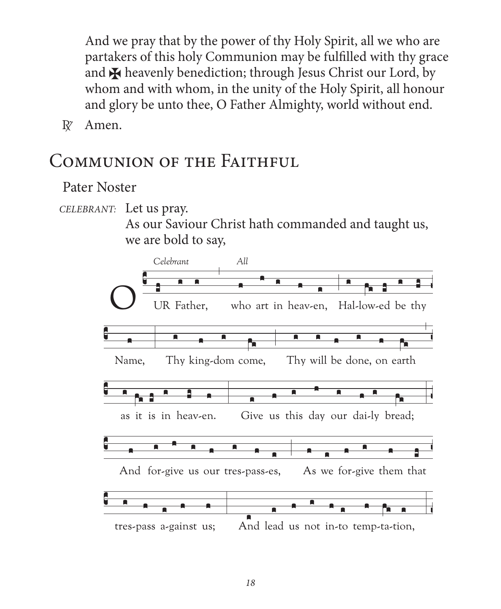And we pray that by the power of thy Holy Spirit, all we who are partakers of this holy Communion may be fulfilled with thy grace and **X** heavenly benediction; through Jesus Christ our Lord, by whom and with whom, in the unity of the Holy Spirit, all honour and glory be unto thee, O Father Almighty, world without end.

Amen.  $\mathbb{R}^7$ 

### COMMUNION OF THE FAITHFUL

#### Pater Noster

CELEBRANT: Let us pray.

As our Saviour Christ hath commanded and taught us, we are bold to say,

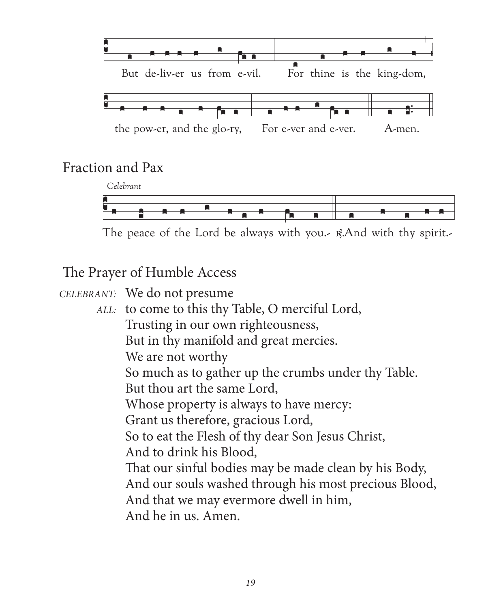

#### Fraction and Pax



The peace of the Lord be always with you. R.And with thy spirit.

The Prayer of Humble Access

CELEBRANT: We do not presume

ALL: to come to this thy Table, O merciful Lord, Trusting in our own righteousness, But in thy manifold and great mercies. We are not worthy So much as to gather up the crumbs under thy Table. But thou art the same Lord. Whose property is always to have mercy: Grant us therefore, gracious Lord, So to eat the Flesh of thy dear Son Jesus Christ, And to drink his Blood, That our sinful bodies may be made clean by his Body, And our souls washed through his most precious Blood, And that we may evermore dwell in him, And he in us. Amen.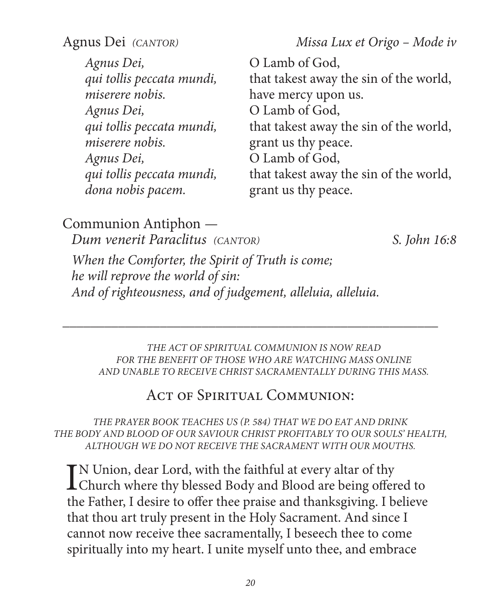Agnus Dei *(CANTOR) Missa Lux et Origo – Mode iv* 

*Agnus Dei,* O Lamb of God, *miserere nobis.* have mercy upon us. *Agnus Dei,* O Lamb of God, *miserere nobis.* **grant us thy peace.** *Agnus Dei,* O Lamb of God, *dona nobis pacem.* grant us thy peace.

*qui tollis peccata mundi,* that takest away the sin of the world, *qui tollis peccata mundi,* that takest away the sin of the world, *qui tollis peccata mundi,* that takest away the sin of the world,

Communion Antiphon *— Dum venerit Paraclitus (CANTOR) S. John 16:8*

*When the Comforter, the Spirit of Truth is come; he will reprove the world of sin: And of righteousness, and of judgement, alleluia, alleluia.*

*THE ACT OF SPIRITUAL COMMUNION IS NOW READ FOR THE BENEFIT OF THOSE WHO ARE WATCHING MASS ONLINE AND UNABLE TO RECEIVE CHRIST SACRAMENTALLY DURING THIS MASS.*

#### ACT OF SPIRITUAL COMMUNION:

\_\_\_\_\_\_\_\_\_\_\_\_\_\_\_\_\_\_\_\_\_\_\_\_\_\_\_\_\_\_\_\_\_\_\_\_\_\_\_\_\_\_\_\_\_\_\_\_\_\_\_\_\_\_

*THE PRAYER BOOK TEACHES US (P. 584) THAT WE DO EAT AND DRINK THE BODY AND BLOOD OF OUR SAVIOUR CHRIST PROFITABLY TO OUR SOULS' HEALTH, ALTHOUGH WE DO NOT RECEIVE THE SACRAMENT WITH OUR MOUTHS.*

IN Union, dear Lord, with the faithful at every altar of thy<br>Church where thy blessed Body and Blood are being offered to<br>the Ethen Labins to effect because and the electrical Labins **T**N Union, dear Lord, with the faithful at every altar of thy the Father, I desire to offer thee praise and thanksgiving. I believe that thou art truly present in the Holy Sacrament. And since I cannot now receive thee sacramentally, I beseech thee to come spiritually into my heart. I unite myself unto thee, and embrace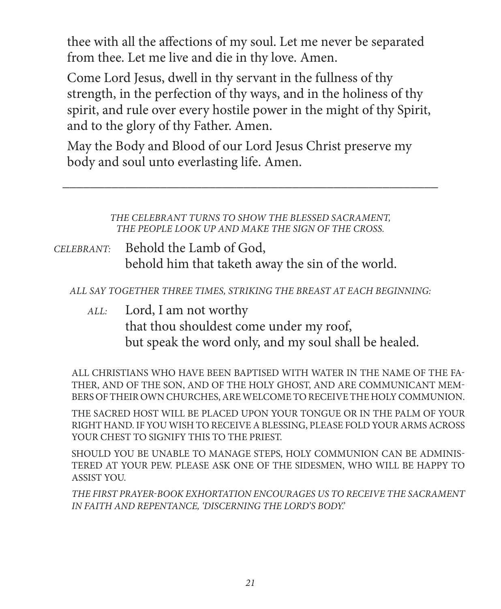thee with all the affections of my soul. Let me never be separated from thee. Let me live and die in thy love. Amen.

Come Lord Jesus, dwell in thy servant in the fullness of thy strength, in the perfection of thy ways, and in the holiness of thy spirit, and rule over every hostile power in the might of thy Spirit, and to the glory of thy Father. Amen.

May the Body and Blood of our Lord Jesus Christ preserve my body and soul unto everlasting life. Amen.

> *THE CELEBRANT TURNS TO SHOW THE BLESSED SACRAMENT, THE PEOPLE LOOK UP AND MAKE THE SIGN OF THE CROSS.*

\_\_\_\_\_\_\_\_\_\_\_\_\_\_\_\_\_\_\_\_\_\_\_\_\_\_\_\_\_\_\_\_\_\_\_\_\_\_\_\_\_\_\_\_\_\_\_\_\_\_\_\_\_\_

*CELEBRANT:* Behold the Lamb of God, behold him that taketh away the sin of the world.

*ALL SAY TOGETHER THREE TIMES, STRIKING THE BREAST AT EACH BEGINNING:*

 *ALL:* Lord, I am not worthy that thou shouldest come under my roof, but speak the word only, and my soul shall be healed.

ALL CHRISTIANS WHO HAVE BEEN BAPTISED WITH WATER IN THE NAME OF THE FA-THER, AND OF THE SON, AND OF THE HOLY GHOST, AND ARE COMMUNICANT MEM-BERS OF THEIR OWN CHURCHES, ARE WELCOME TO RECEIVE THE HOLY COMMUNION.

THE SACRED HOST WILL BE PLACED UPON YOUR TONGUE OR IN THE PALM OF YOUR RIGHT HAND. IF YOU WISH TO RECEIVE A BLESSING, PLEASE FOLD YOUR ARMS ACROSS YOUR CHEST TO SIGNIFY THIS TO THE PRIEST.

SHOULD YOU BE UNABLE TO MANAGE STEPS, HOLY COMMUNION CAN BE ADMINIS-TERED AT YOUR PEW. PLEASE ASK ONE OF THE SIDESMEN, WHO WILL BE HAPPY TO ASSIST YOU.

*THE FIRST PRAYER-BOOK EXHORTATION ENCOURAGES US TO RECEIVE THE SACRAMENT IN FAITH AND REPENTANCE, 'DISCERNING THE LORD'S BODY.'*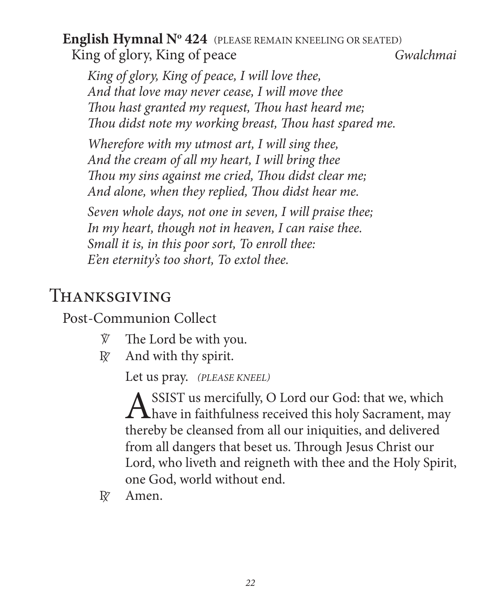### **English Hymnal No 424** (PLEASE REMAIN KNEELING OR SEATED) King of glory, King of peace *Gwalchmai*

 *King of glory, King of peace, I will love thee, And that love may never cease, I will move thee Thou hast granted my request, Thou hast heard me; Thou didst note my working breast, Thou hast spared me.*

 *Wherefore with my utmost art, I will sing thee, And the cream of all my heart, I will bring thee Thou my sins against me cried, Thou didst clear me; And alone, when they replied, Thou didst hear me.*

 *Seven whole days, not one in seven, I will praise thee; In my heart, though not in heaven, I can raise thee. Small it is, in this poor sort, To enroll thee: E'en eternity's too short, To extol thee.*

# Thanksgiving

Post-Communion Collect

- $\hat{V}$  The Lord be with you.
- $\mathbb{R}$  And with thy spirit.

Let us pray. *(PLEASE KNEEL)*

ASSIST us mercifully, O Lord our God: that we, which<br>have in faithfulness received this holy Sacrament, may thereby be cleansed from all our iniquities, and delivered from all dangers that beset us. Through Jesus Christ our Lord, who liveth and reigneth with thee and the Holy Spirit, one God, world without end.

R<sub>Z</sub> Amen.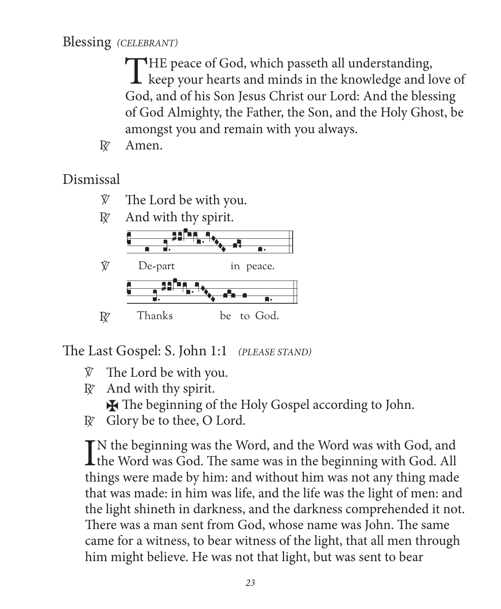#### Blessing (CELEBRANT)

THE peace of God, which passeth all understanding, L keep your hearts and minds in the knowledge and love of God, and of his Son Jesus Christ our Lord: And the blessing of God Almighty, the Father, the Son, and the Holy Ghost, be amongst you and remain with you always.

 $R^7$ Amen.

Dismissal

- The Lord be with you. Ŵ
- $Rz$ And with thy spirit.



The Last Gospel: S. John 1:1 (PLEASE STAND)

- The Lord be with you.  $\bar{V}$
- $\mathbb{R}^7$  And with thy spirit.
	- **X** The beginning of the Holy Gospel according to John.
- $\mathbb{R}^r$  Glory be to thee, O Lord.

 $\mathbf{T}$ N the beginning was the Word, and the Word was with God, and  $\blacktriangle$  the Word was God. The same was in the beginning with God. All things were made by him: and without him was not any thing made that was made: in him was life, and the life was the light of men: and the light shineth in darkness, and the darkness comprehended it not. There was a man sent from God, whose name was John. The same came for a witness, to bear witness of the light, that all men through him might believe. He was not that light, but was sent to bear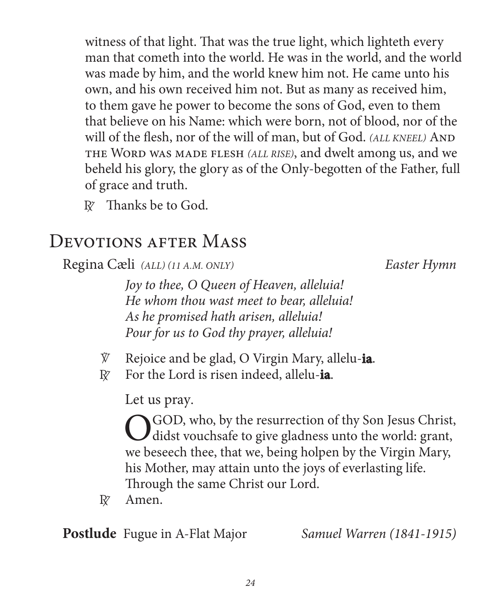witness of that light. That was the true light, which lighteth every man that cometh into the world. He was in the world, and the world was made by him, and the world knew him not. He came unto his own, and his own received him not. But as many as received him, to them gave he power to become the sons of God, even to them that believe on his Name: which were born, not of blood, nor of the will of the flesh, nor of the will of man, but of God. *(ALL KNEEL)* AND the Word was made flesh *(ALL RISE)*, and dwelt among us, and we beheld his glory, the glory as of the Only-begotten of the Father, full of grace and truth.

 $R\bar{z}$  Thanks be to God.

# DEVOTIONS AFTER MASS

Regina Cæli *(ALL) (11 A.M. ONLY) Easter Hymn*

 *Joy to thee, O Queen of Heaven, alleluia! He whom thou wast meet to bear, alleluia! As he promised hath arisen, alleluia! Pour for us to God thy prayer, alleluia!*

- V Rejoice and be glad, O Virgin Mary, allelu-**ia**.
- R For the Lord is risen indeed, allelu-**ia**.

Let us pray.

O GOD, who, by the resurrection of thy Son Jesus Christ,<br>didst vouchsafe to give gladness unto the world: grant, we beseech thee, that we, being holpen by the Virgin Mary, his Mother, may attain unto the joys of everlasting life. Through the same Christ our Lord.

 $R^{\prime}$  Amen.

**Postlude** Fugue in A-Flat Major *Samuel Warren (1841-1915)*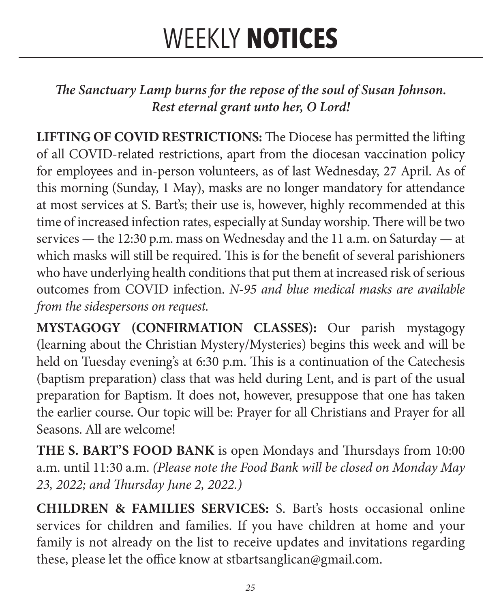# WEEKLY **NOTICES**

*The Sanctuary Lamp burns for the repose of the soul of Susan Johnson. Rest eternal grant unto her, O Lord!*

**LIFTING OF COVID RESTRICTIONS:** The Diocese has permitted the lifting of all COVID-related restrictions, apart from the diocesan vaccination policy for employees and in-person volunteers, as of last Wednesday, 27 April. As of this morning (Sunday, 1 May), masks are no longer mandatory for attendance at most services at S. Bart's; their use is, however, highly recommended at this time of increased infection rates, especially at Sunday worship. There will be two services — the 12:30 p.m. mass on Wednesday and the 11 a.m. on Saturday — at which masks will still be required. This is for the benefit of several parishioners who have underlying health conditions that put them at increased risk of serious outcomes from COVID infection. *N-95 and blue medical masks are available from the sidespersons on request.*

**MYSTAGOGY (CONFIRMATION CLASSES):** Our parish mystagogy (learning about the Christian Mystery/Mysteries) begins this week and will be held on Tuesday evening's at 6:30 p.m. This is a continuation of the Catechesis (baptism preparation) class that was held during Lent, and is part of the usual preparation for Baptism. It does not, however, presuppose that one has taken the earlier course. Our topic will be: Prayer for all Christians and Prayer for all Seasons. All are welcome!

**THE S. BART'S FOOD BANK** is open Mondays and Thursdays from 10:00 a.m. until 11:30 a.m. *(Please note the Food Bank will be closed on Monday May 23, 2022; and Thursday June 2, 2022.)*

**CHILDREN & FAMILIES SERVICES:** S. Bart's hosts occasional online services for children and families. If you have children at home and your family is not already on the list to receive updates and invitations regarding these, please let the office know at stbartsanglican@gmail.com.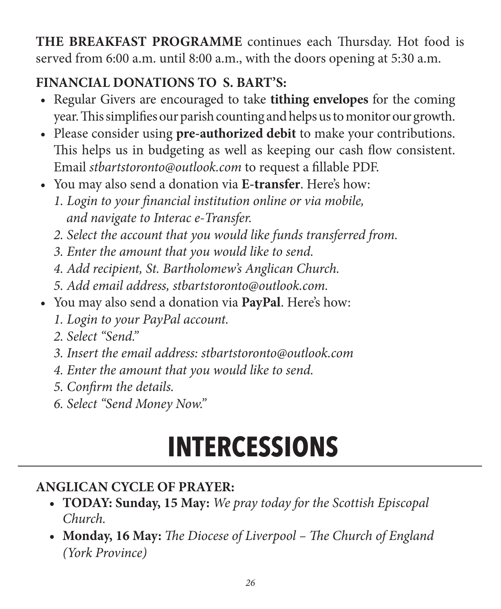**THE BREAKFAST PROGRAMME** continues each Thursday. Hot food is served from 6:00 a.m. until 8:00 a.m., with the doors opening at 5:30 a.m.

# **FINANCIAL DONATIONS TO S. BART'S:**

- Regular Givers are encouraged to take **tithing envelopes** for the coming year. This simplifies our parish counting and helps us to monitor our growth.
- Please consider using **pre-authorized debit** to make your contributions. This helps us in budgeting as well as keeping our cash flow consistent. Email *stbartstoronto@outlook.com* to request a fillable PDF.
- You may also send a donation via **E-transfer**. Here's how:
	- *1. Login to your financial institution online or via mobile, and navigate to Interac e-Transfer.*
	- *2. Select the account that you would like funds transferred from.*
	- *3. Enter the amount that you would like to send.*
	- *4. Add recipient, St. Bartholomew's Anglican Church.*
	- *5. Add email address, stbartstoronto@outlook.com.*
- You may also send a donation via **PayPal**. Here's how:
	- *1. Login to your PayPal account.*
	- *2. Select "Send."*
	- *3. Insert the email address: stbartstoronto@outlook.com*
	- *4. Enter the amount that you would like to send.*
	- *5. Confirm the details.*
	- *6. Select "Send Money Now."*

# **INTERCESSIONS**

### **ANGLICAN CYCLE OF PRAYER:**

- **• TODAY: Sunday, 15 May:** *We pray today for the Scottish Episcopal Church.*
- **• Monday, 16 May:** *The Diocese of Liverpool The Church of England (York Province)*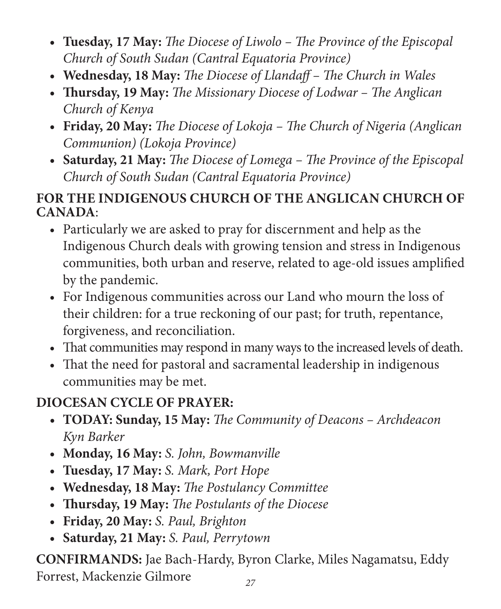- **• Tuesday, 17 May:** *The Diocese of Liwolo The Province of the Episcopal Church of South Sudan (Cantral Equatoria Province)*
- **• Wednesday, 18 May:** *The Diocese of Llandaff The Church in Wales*
- **• Thursday, 19 May:** *The Missionary Diocese of Lodwar The Anglican Church of Kenya*
- **• Friday, 20 May:** *The Diocese of Lokoja The Church of Nigeria (Anglican Communion) (Lokoja Province)*
- **• Saturday, 21 May:** *The Diocese of Lomega The Province of the Episcopal Church of South Sudan (Cantral Equatoria Province)*

#### **FOR THE INDIGENOUS CHURCH OF THE ANGLICAN CHURCH OF CANADA**:

- Particularly we are asked to pray for discernment and help as the Indigenous Church deals with growing tension and stress in Indigenous communities, both urban and reserve, related to age-old issues amplified by the pandemic.
- For Indigenous communities across our Land who mourn the loss of their children: for a true reckoning of our past; for truth, repentance, forgiveness, and reconciliation.
- That communities may respond in many ways to the increased levels of death.
- That the need for pastoral and sacramental leadership in indigenous communities may be met.

### **DIOCESAN CYCLE OF PRAYER:**

- **• TODAY: Sunday, 15 May:** *The Community of Deacons Archdeacon Kyn Barker*
- **• Monday, 16 May:** *S. John, Bowmanville*
- **• Tuesday, 17 May:** *S. Mark, Port Hope*
- **• Wednesday, 18 May:** *The Postulancy Committee*
- **• Thursday, 19 May:** *The Postulants of the Diocese*
- **• Friday, 20 May:** *S. Paul, Brighton*
- **• Saturday, 21 May:** *S. Paul, Perrytown*

**CONFIRMANDS:** Jae Bach-Hardy, Byron Clarke, Miles Nagamatsu, Eddy Forrest, Mackenzie Gilmore *<sup>27</sup>*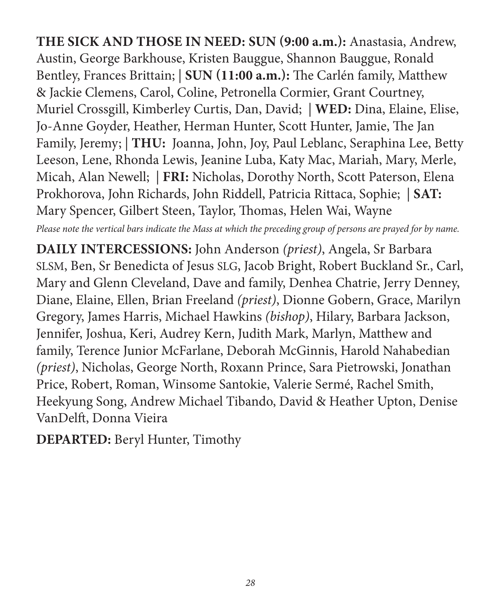**THE SICK AND THOSE IN NEED: SUN (9:00 a.m.):** Anastasia, Andrew, Austin, George Barkhouse, Kristen Bauggue, Shannon Bauggue, Ronald Bentley, Frances Brittain; | **SUN (11:00 a.m.):** The Carlén family, Matthew & Jackie Clemens, Carol, Coline, Petronella Cormier, Grant Courtney, Muriel Crossgill, Kimberley Curtis, Dan, David; | **WED:** Dina, Elaine, Elise, Jo-Anne Goyder, Heather, Herman Hunter, Scott Hunter, Jamie, The Jan Family, Jeremy; | **THU:** Joanna, John, Joy, Paul Leblanc, Seraphina Lee, Betty Leeson, Lene, Rhonda Lewis, Jeanine Luba, Katy Mac, Mariah, Mary, Merle, Micah, Alan Newell; | **FRI:** Nicholas, Dorothy North, Scott Paterson, Elena Prokhorova, John Richards, John Riddell, Patricia Rittaca, Sophie; | **SAT:** Mary Spencer, Gilbert Steen, Taylor, Thomas, Helen Wai, Wayne

*Please note the vertical bars indicate the Mass at which the preceding group of persons are prayed for by name.*

**DAILY INTERCESSIONS:** John Anderson *(priest)*, Angela, Sr Barbara SLSM, Ben, Sr Benedicta of Jesus SLG, Jacob Bright, Robert Buckland Sr., Carl, Mary and Glenn Cleveland, Dave and family, Denhea Chatrie, Jerry Denney, Diane, Elaine, Ellen, Brian Freeland *(priest)*, Dionne Gobern, Grace, Marilyn Gregory, James Harris, Michael Hawkins *(bishop)*, Hilary, Barbara Jackson, Jennifer, Joshua, Keri, Audrey Kern, Judith Mark, Marlyn, Matthew and family, Terence Junior McFarlane, Deborah McGinnis, Harold Nahabedian *(priest)*, Nicholas, George North, Roxann Prince, Sara Pietrowski, Jonathan Price, Robert, Roman, Winsome Santokie, Valerie Sermé, Rachel Smith, Heekyung Song, Andrew Michael Tibando, David & Heather Upton, Denise VanDelft, Donna Vieira

**DEPARTED:** Beryl Hunter, Timothy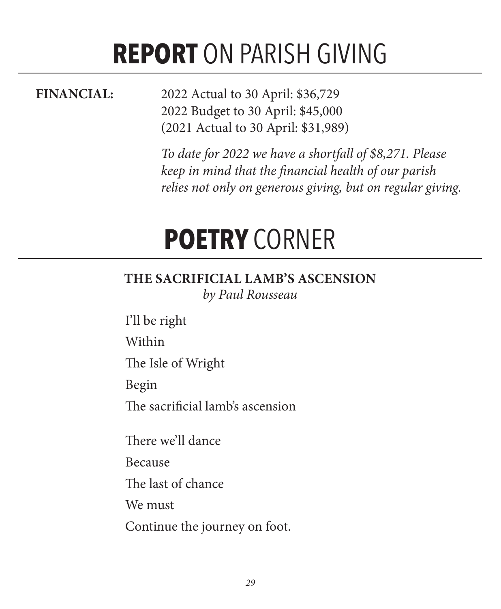# **REPORT** ON PARISH GIVING

**FINANCIAL:** 2022 Actual to 30 April: \$36,729 2022 Budget to 30 April: \$45,000 (2021 Actual to 30 April: \$31,989)

> *To date for 2022 we have a shortfall of \$8,271. Please keep in mind that the financial health of our parish relies not only on generous giving, but on regular giving.*

# **POETRY** CORNER

# **THE SACRIFICIAL LAMB'S ASCENSION**

*by Paul Rousseau*

I'll be right Within

The Isle of Wright

Begin

The sacrificial lamb's ascension

There we'll dance

Because

The last of chance

We must

Continue the journey on foot.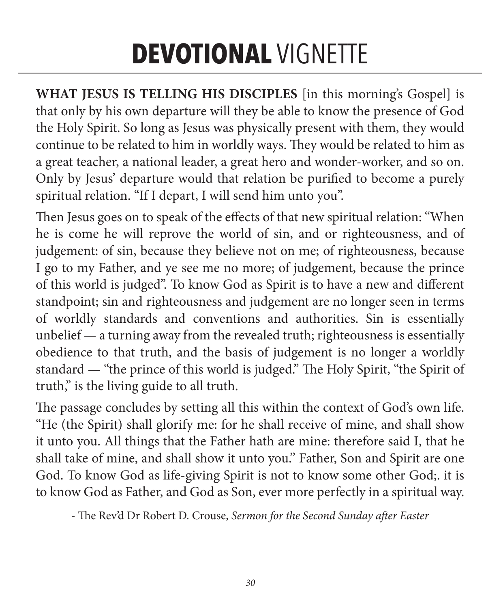# **DEVOTIONAL** VIGNETTE

**WHAT JESUS IS TELLING HIS DISCIPLES** [in this morning's Gospel] is that only by his own departure will they be able to know the presence of God the Holy Spirit. So long as Jesus was physically present with them, they would continue to be related to him in worldly ways. They would be related to him as a great teacher, a national leader, a great hero and wonder-worker, and so on. Only by Jesus' departure would that relation be purified to become a purely spiritual relation. "If I depart, I will send him unto you".

Then Jesus goes on to speak of the effects of that new spiritual relation: "When he is come he will reprove the world of sin, and or righteousness, and of judgement: of sin, because they believe not on me; of righteousness, because I go to my Father, and ye see me no more; of judgement, because the prince of this world is judged". To know God as Spirit is to have a new and different standpoint; sin and righteousness and judgement are no longer seen in terms of worldly standards and conventions and authorities. Sin is essentially unbelief — a turning away from the revealed truth; righteousness is essentially obedience to that truth, and the basis of judgement is no longer a worldly standard — "the prince of this world is judged." The Holy Spirit, "the Spirit of truth," is the living guide to all truth.

The passage concludes by setting all this within the context of God's own life. "He (the Spirit) shall glorify me: for he shall receive of mine, and shall show it unto you. All things that the Father hath are mine: therefore said I, that he shall take of mine, and shall show it unto you." Father, Son and Spirit are one God. To know God as life-giving Spirit is not to know some other God;. it is to know God as Father, and God as Son, ever more perfectly in a spiritual way.

- The Rev'd Dr Robert D. Crouse, *Sermon for the Second Sunday after Easter*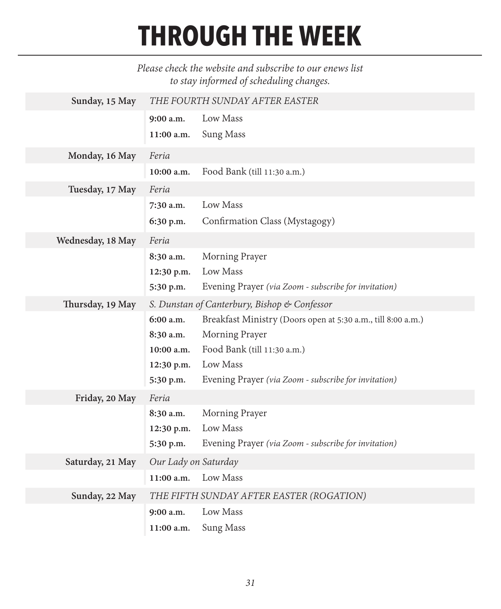# **THROUGH THE WEEK**

#### *Please check the website and subscribe to our enews list to stay informed of scheduling changes.*

| Sunday, 15 May    | THE FOURTH SUNDAY AFTER EASTER |                                                              |  |
|-------------------|--------------------------------|--------------------------------------------------------------|--|
|                   | 9:00 a.m.                      | Low Mass                                                     |  |
|                   | 11:00 a.m.                     | Sung Mass                                                    |  |
| Monday, 16 May    | Feria                          |                                                              |  |
|                   | 10:00 a.m.                     | Food Bank (till 11:30 a.m.)                                  |  |
| Tuesday, 17 May   | Feria                          |                                                              |  |
|                   | 7:30 a.m.                      | Low Mass                                                     |  |
|                   | 6:30 p.m.                      | Confirmation Class (Mystagogy)                               |  |
| Wednesday, 18 May | Feria                          |                                                              |  |
|                   | 8:30 a.m.                      | Morning Prayer                                               |  |
|                   | 12:30 p.m.                     | Low Mass                                                     |  |
|                   | 5:30 p.m.                      | Evening Prayer (via Zoom - subscribe for invitation)         |  |
| Thursday, 19 May  |                                | S. Dunstan of Canterbury, Bishop & Confessor                 |  |
|                   | 6:00 a.m.                      | Breakfast Ministry (Doors open at 5:30 a.m., till 8:00 a.m.) |  |
|                   | 8:30 a.m.                      | Morning Prayer                                               |  |
|                   | 10:00 a.m.                     | Food Bank (till 11:30 a.m.)                                  |  |
|                   | 12:30 p.m.                     | Low Mass                                                     |  |
|                   | 5:30 p.m.                      | Evening Prayer (via Zoom - subscribe for invitation)         |  |
| Friday, 20 May    | Feria                          |                                                              |  |
|                   | 8:30 a.m.                      | Morning Prayer                                               |  |
|                   | 12:30 p.m.                     | Low Mass                                                     |  |
|                   | 5:30 p.m.                      | Evening Prayer (via Zoom - subscribe for invitation)         |  |
| Saturday, 21 May  | Our Lady on Saturday           |                                                              |  |
|                   | 11:00 a.m.                     | Low Mass                                                     |  |
| Sunday, 22 May    |                                | THE FIFTH SUNDAY AFTER EASTER (ROGATION)                     |  |
|                   | 9:00 a.m.                      | Low Mass                                                     |  |
|                   | 11:00 a.m.                     | Sung Mass                                                    |  |